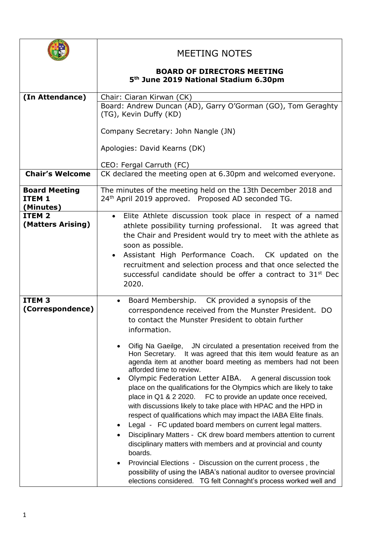|                                                        | <b>MEETING NOTES</b>                                                                                                                                                                                                                                                                                                                                                                                                                                                                                                                                                                                                                                                                                                                                                                                                                                                                                                                                                                                                                                                                                                                                                                           |
|--------------------------------------------------------|------------------------------------------------------------------------------------------------------------------------------------------------------------------------------------------------------------------------------------------------------------------------------------------------------------------------------------------------------------------------------------------------------------------------------------------------------------------------------------------------------------------------------------------------------------------------------------------------------------------------------------------------------------------------------------------------------------------------------------------------------------------------------------------------------------------------------------------------------------------------------------------------------------------------------------------------------------------------------------------------------------------------------------------------------------------------------------------------------------------------------------------------------------------------------------------------|
|                                                        | <b>BOARD OF DIRECTORS MEETING</b><br>5 <sup>th</sup> June 2019 National Stadium 6.30pm                                                                                                                                                                                                                                                                                                                                                                                                                                                                                                                                                                                                                                                                                                                                                                                                                                                                                                                                                                                                                                                                                                         |
| (In Attendance)                                        | Chair: Ciaran Kirwan (CK)<br>Board: Andrew Duncan (AD), Garry O'Gorman (GO), Tom Geraghty<br>(TG), Kevin Duffy (KD)<br>Company Secretary: John Nangle (JN)                                                                                                                                                                                                                                                                                                                                                                                                                                                                                                                                                                                                                                                                                                                                                                                                                                                                                                                                                                                                                                     |
|                                                        | Apologies: David Kearns (DK)<br>CEO: Fergal Carruth (FC)                                                                                                                                                                                                                                                                                                                                                                                                                                                                                                                                                                                                                                                                                                                                                                                                                                                                                                                                                                                                                                                                                                                                       |
| <b>Chair's Welcome</b>                                 | CK declared the meeting open at 6.30pm and welcomed everyone.                                                                                                                                                                                                                                                                                                                                                                                                                                                                                                                                                                                                                                                                                                                                                                                                                                                                                                                                                                                                                                                                                                                                  |
| <b>Board Meeting</b><br>ITEM <sub>1</sub><br>(Minutes) | The minutes of the meeting held on the 13th December 2018 and<br>24th April 2019 approved. Proposed AD seconded TG.                                                                                                                                                                                                                                                                                                                                                                                                                                                                                                                                                                                                                                                                                                                                                                                                                                                                                                                                                                                                                                                                            |
| ITEM <sub>2</sub><br>(Matters Arising)                 | Elite Athlete discussion took place in respect of a named<br>athlete possibility turning professional. It was agreed that<br>the Chair and President would try to meet with the athlete as<br>soon as possible.<br>Assistant High Performance Coach. CK updated on the<br>recruitment and selection process and that once selected the<br>successful candidate should be offer a contract to 31 <sup>st</sup> Dec<br>2020.                                                                                                                                                                                                                                                                                                                                                                                                                                                                                                                                                                                                                                                                                                                                                                     |
| ITEM <sub>3</sub><br>(Correspondence)                  | Board Membership. CK provided a synopsis of the<br>correspondence received from the Munster President. DO<br>to contact the Munster President to obtain further<br>information.<br>Oifig Na Gaeilge, JN circulated a presentation received from the<br>Hon Secretary. It was agreed that this item would feature as an<br>agenda item at another board meeting as members had not been<br>afforded time to review.<br>Olympic Federation Letter AIBA. A general discussion took<br>place on the qualifications for the Olympics which are likely to take<br>place in Q1 & 2 2020. FC to provide an update once received,<br>with discussions likely to take place with HPAC and the HPD in<br>respect of qualifications which may impact the IABA Elite finals.<br>Legal - FC updated board members on current legal matters.<br>Disciplinary Matters - CK drew board members attention to current<br>disciplinary matters with members and at provincial and county<br>boards.<br>Provincial Elections - Discussion on the current process, the<br>possibility of using the IABA's national auditor to oversee provincial<br>elections considered. TG felt Connaght's process worked well and |